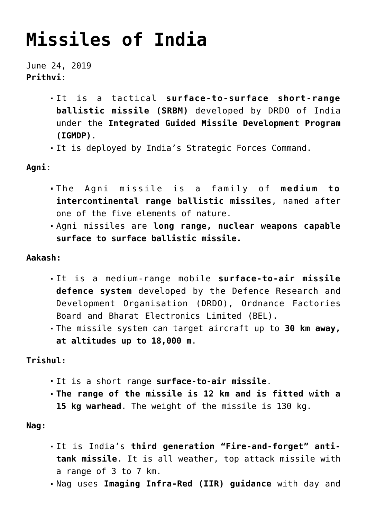# **[Missiles of India](https://journalsofindia.com/missiles-of-india/)**

June 24, 2019 **Prithvi**:

- It is a tactical **surface-to-surface short-range ballistic missile (SRBM)** developed by DRDO of India under the **Integrated Guided Missile Development Program (IGMDP)**.
- It is deployed by India's Strategic Forces Command.

**Agni**:

- The Agni missile is a family of **medium to intercontinental range ballistic missiles**, named after one of the five elements of nature.
- Agni missiles are **long range, nuclear weapons capable surface to surface ballistic missile.**

### **Aakash:**

- It is a medium-range mobile **surface-to-air missile defence system** developed by the Defence Research and Development Organisation (DRDO), Ordnance Factories Board and Bharat Electronics Limited (BEL).
- The missile system can target aircraft up to **30 km away, at altitudes up to 18,000 m**.

**Trishul:**

- It is a short range **surface-to-air missile**.
- **The range of the missile is 12 km and is fitted with a 15 kg warhead**. The weight of the missile is 130 kg.

**Nag:**

- It is India's **third generation "Fire-and-forget" antitank missile**. It is all weather, top attack missile with a range of 3 to 7 km.
- Nag uses **Imaging Infra-Red (IIR) guidance** with day and